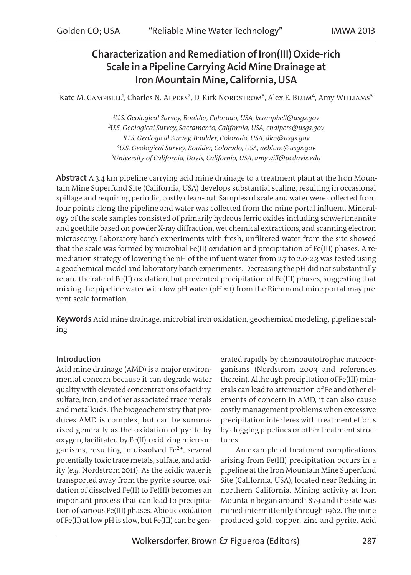# Characterization and Remediation of Iron(III) Oxide-rich Scale in a Pipeline Carrying Acid Mine Drainage at Iron Mountain Mine, California, USA

Kate M. CAMPBELL<sup>1</sup>, Charles N. ALPERS<sup>2</sup>, D. Kirk NORDSTROM<sup>3</sup>, Alex E. BLUM<sup>4</sup>, Amy WILLIAMS<sup>5</sup>

*¹U.S. Geological Survey, Boulder, Colorado, USA, kcampbell@usgs.gov ²U.S. Geological Survey, Sacramento, California, USA, cnalpers@usgs.gov ³U.S. Geological Survey, Boulder, Colorado, USA, dkn@usgs.gov ⁴U.S. Geological Survey, Boulder, Colorado, USA, aeblum@usgs.gov ⁵University of California, Davis, California, USA, amywill@ucdavis.edu*

Abstract A 3.4 km pipeline carrying acid mine drainage to a treatment plant at the Iron Mountain Mine Superfund Site (California, USA) develops substantial scaling, resulting in occasional spillage and requiring periodic, costly clean-out. Samples of scale and water were collected from four points along the pipeline and water was collected from the mine portal influent. Mineralogy of the scale samples consisted of primarily hydrous ferric oxides including schwertmannite and goethite based on powder X-ray diffraction, wet chemical extractions, and scanning electron microscopy. Laboratory batch experiments with fresh, unfiltered water from the site showed that the scale was formed by microbial Fe(II) oxidation and precipitation of Fe(III) phases. A remediation strategy of lowering the pH of the influent water from 2.7 to 2.0-2.3 was tested using a geochemical model and laboratory batch experiments. Decreasing the pH did not substantially retard the rate of Fe(II) oxidation, but prevented precipitation of Fe(III) phases, suggesting that mixing the pipeline water with low pH water (pH  $\approx$  1) from the Richmond mine portal may prevent scale formation.

Keywords Acid mine drainage, microbial iron oxidation, geochemical modeling, pipeline scaling

## Introduction

Acid mine drainage (AMD) is a major environmental concern because it can degrade water quality with elevated concentrations of acidity, sulfate, iron, and other associated trace metals and metalloids. The biogeochemistry that produces AMD is complex, but can be summarized generally as the oxidation of pyrite by oxygen, facilitated by Fe(II)-oxidizing microorganisms, resulting in dissolved Fe<sup>2+</sup>, several potentially toxic trace metals, sulfate, and acidity (*e.g.* Nordstrom 2011). As the acidic water is transported away from the pyrite source, oxidation of dissolved Fe(II) to Fe(III) becomes an important process that can lead to precipitation of various Fe(III) phases. Abiotic oxidation of Fe(II) at low pH is slow, but Fe(III) can be generated rapidly by chemoautotrophic microorganisms (Nordstrom 2003 and references therein). Although precipitation of Fe(III) minerals can lead to attenuation of Fe and other elements of concern in AMD, it can also cause costly management problems when excessive precipitation interferes with treatment efforts by clogging pipelines or other treatment structures.

An example of treatment complications arising from Fe(III) precipitation occurs in a pipeline at the Iron Mountain Mine Superfund Site (California, USA), located near Redding in northern California. Mining activity at Iron Mountain began around 1879 and the site was mined intermittently through 1962. The mine produced gold, copper, zinc and pyrite. Acid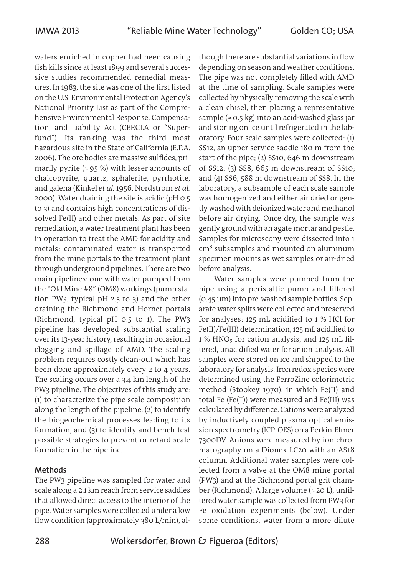waters enriched in copper had been causing fish kills since at least 1899 and several successive studies recommended remedial measures. In 1983, the site was one of the first listed on the U.S. Environmental Protection Agency's National Priority List as part of the Comprehensive Environmental Response, Compensation, and Liability Act (CERCLA or "Superfund"). Its ranking was the third most hazardous site in the State of California (E.P.A. 2006). The ore bodies are massive sulfides, primarily pyrite ( $\approx$  95 %) with lesser amounts of chalcopyrite, quartz, sphalerite, pyrrhotite, and galena (Kinkel *et al.* 1956, Nordstrom *et al.* 2000). Water draining the site is acidic (pH 0.5 to 3) and contains high concentrations of dissolved Fe(II) and other metals. As part of site remediation, a water treatment plant has been in operation to treat the AMD for acidity and metals; contaminated water is transported from the mine portals to the treatment plant through underground pipelines. There are two main pipelines: one with water pumped from the "Old Mine #8" (OM8) workings (pump station PW3, typical pH 2.5 to 3) and the other draining the Richmond and Hornet portals (Richmond, typical pH 0.5 to 1). The PW3 pipeline has developed substantial scaling over its 13-year history, resulting in occasional clogging and spillage of AMD. The scaling problem requires costly clean-out which has been done approximately every 2 to 4 years. The scaling occurs over a 3.4 km length of the PW3 pipeline. The objectives of this study are: (1) to characterize the pipe scale composition along the length of the pipeline, (2) to identify the biogeochemical processes leading to its formation, and (3) to identify and bench-test possible strategies to prevent or retard scale formation in the pipeline.

### Methods

The PW3 pipeline was sampled for water and scale along a 2.1 km reach from service saddles that allowed direct access to the interior of the pipe. Water samples were collected under a low flow condition (approximately 380 L/min), al-

though there are substantial variations in flow depending on season and weather conditions. The pipe was not completely filled with AMD at the time of sampling. Scale samples were collected by physically removing the scale with a clean chisel, then placing a representative sample ( $\approx$  0.5 kg) into an acid-washed glass jar and storing on ice until refrigerated in the laboratory. Four scale samples were collected: (1) SS12, an upper service saddle 180 m from the start of the pipe; (2) SS10, 646 m downstream of SS12; (3) SS8, 665 m downstream of SS10; and (4) SS6, 588 m downstream of SS8. In the laboratory, a subsample of each scale sample was homogenized and either air dried or gently washed with deionized water and methanol before air drying. Once dry, the sample was gently ground with an agate mortar and pestle. Samples for microscopy were dissected into 1 cm<sup>3</sup> subsamples and mounted on aluminum specimen mounts as wet samples or air-dried before analysis.

Water samples were pumped from the pipe using a peristaltic pump and filtered (0.45 μm) into pre-washed sample bottles. Separate water splits were collected and preserved for analyses:  $125$  mL acidified to 1 % HCl for Fe(II)/Fe(III) determination, 125 mL acidified to 1 % HNO<sub>3</sub> for cation analysis, and 125 mL filtered, unacidified water for anion analysis. All samples were stored on ice and shipped to the laboratory for analysis. Iron redox species were determined using the FerroZine colorimetric method (Stookey 1970), in which Fe(II) and total Fe (Fe(T)) were measured and Fe(III) was calculated by difference. Cations were analyzed by inductively coupled plasma optical emission spectrometry (ICP-OES) on a Perkin-Elmer 7300DV. Anions were measured by ion chromatography on a Dionex LC20 with an AS18 column. Additional water samples were collected from a valve at the OM8 mine portal (PW3) and at the Richmond portal grit chamber (Richmond). A large volume (≈ 20 L), unfiltered water sample was collected from PW3 for Fe oxidation experiments (below). Under some conditions, water from a more dilute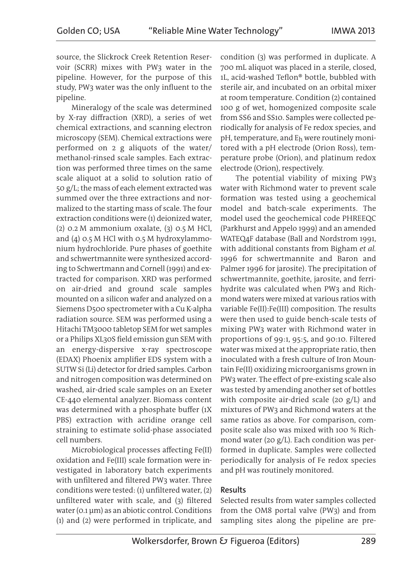source, the Slickrock Creek Retention Reservoir (SCRR) mixes with PW3 water in the pipeline. However, for the purpose of this study, PW3 water was the only influent to the pipeline.

Mineralogy of the scale was determined by X-ray diffraction (XRD), a series of wet chemical extractions, and scanning electron microscopy (SEM). Chemical extractions were performed on 2 g aliquots of the water/ methanol-rinsed scale samples. Each extraction was performed three times on the same scale aliquot at a solid to solution ratio of 50 g/L; the mass of each element extracted was summed over the three extractions and normalized to the starting mass of scale. The four extraction conditions were (1) deionized water, (2) 0.2 M ammonium oxalate, (3) 0.5 M HCl, and (4) 0.5 M HCl with 0.5 M hydroxylammonium hydrochloride. Pure phases of goethite and schwertmannite were synthesized according to Schwertmann and Cornell (1991) and extracted for comparison. XRD was performed on air-dried and ground scale samples mounted on a silicon wafer and analyzed on a Siemens D500 spectrometer with a Cu K-alpha radiation source. SEM was performed using a Hitachi TM3000 tabletop SEM for wet samples or a Philips XL30S field emission gun SEM with an energy-dispersive x-ray spectroscope (EDAX) Phoenix amplifier EDS system with a SUTW Si (Li) detector for dried samples. Carbon and nitrogen composition was determined on washed, air-dried scale samples on an Exeter CE-440 elemental analyzer. Biomass content was determined with a phosphate buffer (1X PBS) extraction with acridine orange cell straining to estimate solid-phase associated cell numbers.

Microbiological processes affecting Fe(II) oxidation and Fe(III) scale formation were investigated in laboratory batch experiments with unfiltered and filtered PW3 water. Three conditions were tested:  $(1)$  unfiltered water,  $(2)$ unfiltered water with scale, and  $(3)$  filtered water (0.1 μm) as an abiotic control. Conditions (1) and (2) were performed in triplicate, and condition (3) was performed in duplicate. A 700 mL aliquot was placed in a sterile, closed, 1L, acid-washed Teflon® bottle, bubbled with sterile air, and incubated on an orbital mixer at room temperature. Condition (2) contained 100 g of wet, homogenized composite scale from SS6 and SS10. Samples were collected periodically for analysis of Fe redox species, and pH, temperature, and Eh were routinely monitored with a pH electrode (Orion Ross), temperature probe (Orion), and platinum redox electrode (Orion), respectively.

The potential viability of mixing PW3 water with Richmond water to prevent scale formation was tested using a geochemical model and batch-scale experiments. The model used the geochemical code PHREEQC (Parkhurst and Appelo 1999) and an amended WATEQ4F database (Ball and Nordstrom 1991, with additional constants from Bigham *et al.* 1996 for schwertmannite and Baron and Palmer 1996 for jarosite). The precipitation of schwertmannite, goethite, jarosite, and ferrihydrite was calculated when PW3 and Richmond waters were mixed at various ratios with variable Fe(II):Fe(III) composition. The results were then used to guide bench-scale tests of mixing PW3 water with Richmond water in proportions of 99:1, 95:5, and 90:10. Filtered water was mixed at the appropriate ratio, then inoculated with a fresh culture of Iron Mountain Fe(II) oxidizing microorganisms grown in PW3 water. The effect of pre-existing scale also was tested by amending another set of bottles with composite air-dried scale (20 g/L) and mixtures of PW3 and Richmond waters at the same ratios as above. For comparison, composite scale also was mixed with 100 % Richmond water (20 g/L). Each condition was performed in duplicate. Samples were collected periodically for analysis of Fe redox species and pH was routinely monitored.

### Results

Selected results from water samples collected from the OM8 portal valve (PW3) and from sampling sites along the pipeline are pre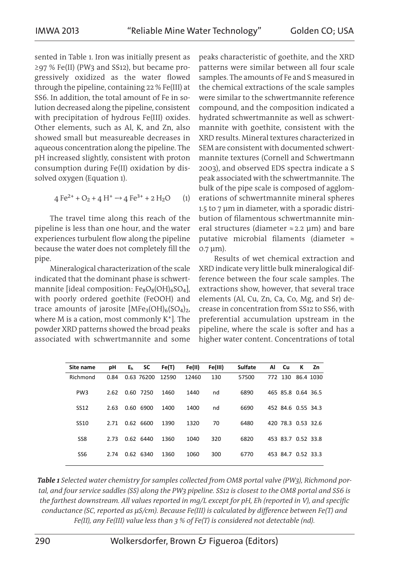sented in Table 1. Iron was initially present as ≥97 % Fe(II) (PW3 and SS12), but became progressively oxidized as the water flowed through the pipeline, containing 22 % Fe(III) at SS6. In addition, the total amount of Fe in solution decreased along the pipeline, consistent with precipitation of hydrous Fe(III) oxides. Other elements, such as Al, K, and Zn, also showed small but measureable decreases in aqueous concentration along the pipeline. The pH increased slightly, consistent with proton consumption during Fe(II) oxidation by dissolved oxygen (Equation 1).

$$
4 \text{ Fe}^{2+} + \text{O}_2 + 4 \text{ H}^+ \rightarrow 4 \text{ Fe}^{3+} + 2 \text{ H}_2\text{O} \qquad (1)
$$

The travel time along this reach of the pipeline is less than one hour, and the water experiences turbulent flow along the pipeline because the water does not completely fill the pipe.

Mineralogical characterization of the scale indicated that the dominant phase is schwertmannite [ideal composition:  $Fe_8O_8(OH)_6SO_4$ ], with poorly ordered goethite (FeOOH) and trace amounts of jarosite  $[MFe<sub>3</sub>(OH)<sub>6</sub>(SO<sub>4</sub>)<sub>2</sub>,$ where  $M$  is a cation, most commonly  $K^+$ ]. The powder XRD patterns showed the broad peaks associated with schwertmannite and some

peaks characteristic of goethite, and the XRD patterns were similar between all four scale samples. The amounts of Fe and S measured in the chemical extractions of the scale samples were similar to the schwertmannite reference compound, and the composition indicated a hydrated schwertmannite as well as schwertmannite with goethite, consistent with the XRD results. Mineral textures characterized in SEM are consistent with documented schwertmannite textures (Cornell and Schwertmann 2003), and observed EDS spectra indicate a S peak associated with the schwertmannite. The bulk of the pipe scale is composed of agglomerations of schwertmannite mineral spheres 1.5 to 7 μm in diameter, with a sporadic distribution of filamentous schwertmannite mineral structures (diameter  $\approx$  2.2 µm) and bare putative microbial filaments (diameter ≈ 0.7 μm).

Results of wet chemical extraction and XRD indicate very little bulk mineralogical difference between the four scale samples. The extractions show, however, that several trace elements (Al, Cu, Zn, Ca, Co, Mg, and Sr) decrease in concentration from SS12 to SS6, with preferential accumulation upstream in the pipeline, where the scale is softer and has a higher water content. Concentrations of total

| Site name       | рH   | E <sub>h</sub> | SC          | Fe(T) | Fe(II) | Fe(III) | <b>Sulfate</b> | Al | Cu       | К                  | Zn        |
|-----------------|------|----------------|-------------|-------|--------|---------|----------------|----|----------|--------------------|-----------|
| Richmond        | 0.84 |                | 0.63 76200  | 12590 | 12460  | 130     | 57500          |    | 772 130  |                    | 86.4 1030 |
| PW <sub>3</sub> | 2.62 |                | 0.60 7250   | 1460  | 1440   | nd      | 6890           |    |          | 465 85.8 0.64 36.5 |           |
| <b>SS12</b>     | 2.63 | 0.60           | 6900        | 1400  | 1400   | nd      | 6690           |    |          | 452 84.6 0.55 34.3 |           |
| <b>SS10</b>     | 2.71 |                | 0.62 6600   | 1390  | 1320   | 70      | 6480           |    |          | 420 78.3 0.53 32.6 |           |
| SS <sub>8</sub> | 2.73 |                | $0.62$ 6440 | 1360  | 1040   | 320     | 6820           |    |          | 453 83.7 0.52 33.8 |           |
| SS <sub>6</sub> | 2.74 | 0.62           | 6340        | 1360  | 1060   | 300     | 6770           |    | 453 84.7 | 0.52 33.3          |           |

*Table 1 Selected water chemistry for samples collected from OM8 portal valve (PW3), Richmond portal, and four service saddles (SS) along the PW3 pipeline. SS12 is closest to the OM8 portal and SS6 is the farthest downstream. All values reported in mq/L except for pH, Eh (reported in V), and specific conductance (SC, reported as μS/cm). Because Fe(III) is calculated by difference between Fe(T) and Fe(II), any Fe(III) value less than 3 % of Fe(T) is considered not detectable (nd).*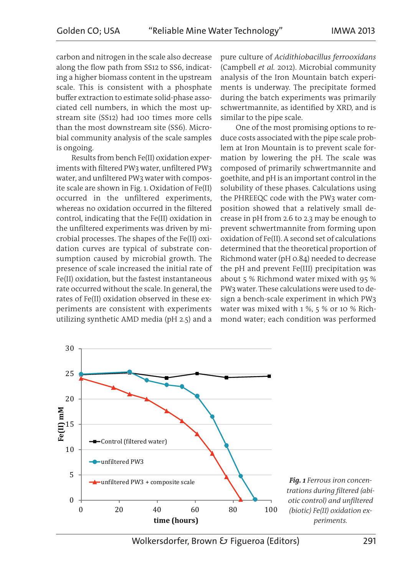carbon and nitrogen in the scale also decrease along the flow path from SS12 to SS6, indicating a higher biomass content in the upstream scale. This is consistent with a phosphate buffer extraction to estimate solid-phase associated cell numbers, in which the most upstream site (SS12) had 100 times more cells than the most downstream site (SS6). Microbial community analysis of the scale samples is ongoing.

Results from bench Fe(II) oxidation experiments with filtered PW3 water, unfiltered PW3 water, and unfiltered PW3 water with composite scale are shown in Fig. 1. Oxidation of Fe(II) occurred in the unfiltered experiments, whereas no oxidation occurred in the filtered control, indicating that the Fe(II) oxidation in the unfiltered experiments was driven by microbial processes. The shapes of the Fe(II) oxidation curves are typical of substrate consumption caused by microbial growth. The presence of scale increased the initial rate of Fe(II) oxidation, but the fastest instantaneous rate occurred without the scale. In general, the rates of Fe(II) oxidation observed in these experiments are consistent with experiments utilizing synthetic AMD media (pH 2.5) and a

pure culture of *Acidithiobacillus ferrooxidans* (Campbell *et al.* 2012). Microbial community analysis of the Iron Mountain batch experiments is underway. The precipitate formed during the batch experiments was primarily schwertmannite, as identified by XRD, and is similar to the pipe scale.

One of the most promising options to reduce costs associated with the pipe scale problem at Iron Mountain is to prevent scale formation by lowering the pH. The scale was composed of primarily schwertmannite and goethite, and pH is an important control in the solubility of these phases. Calculations using the PHREEQC code with the PW3 water composition showed that a relatively small decrease in pH from 2.6 to 2.3 may be enough to prevent schwertmannite from forming upon oxidation of Fe(II). A second set of calculations determined that the theoretical proportion of Richmond water (pH 0.84) needed to decrease the pH and prevent Fe(III) precipitation was about 5 % Richmond water mixed with 95 % PW3 water. These calculations were used to design a bench-scale experiment in which PW3 water was mixed with 1 %, 5 % or 10 % Richmond water; each condition was performed

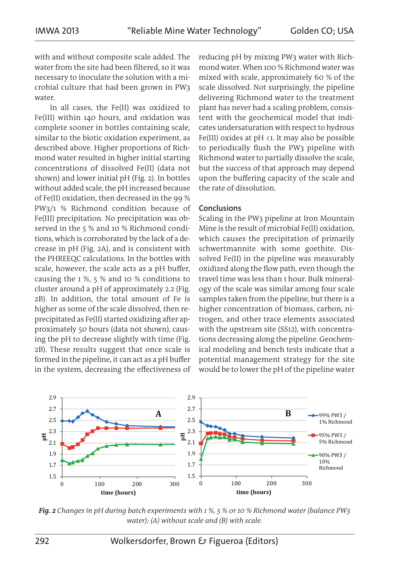with and without composite scale added. The water from the site had been filtered, so it was necessary to inoculate the solution with a microbial culture that had been grown in PW3 water.

In all cases, the Fe(II) was oxidized to Fe(III) within 140 hours, and oxidation was complete sooner in bottles containing scale, similar to the biotic oxidation experiment, as described above. Higher proportions of Richmond water resulted in higher initial starting concentrations of dissolved Fe(II) (data not shown) and lower initial pH (Fig. 2). In bottles without added scale, the pH increased because of Fe(II) oxidation, then decreased in the 99 % PW3/1 % Richmond condition because of Fe(III) precipitation. No precipitation was observed in the 5 % and 10 % Richmond conditions, which is corroborated by the lack of a decrease in pH (Fig. 2A), and is consistent with the PHREEQC calculations. In the bottles with scale, however, the scale acts as a pH buffer, causing the 1 %, 5 % and 10 % conditions to cluster around a pH of approximately 2.2 (Fig. 2B). In addition, the total amount of Fe is higher as some of the scale dissolved, then reprecipitated as Fe(II) started oxidizing after approximately 50 hours (data not shown), causing the pH to decrease slightly with time (Fig. 2B). These results suggest that once scale is formed in the pipeline, it can act as a pH buffer in the system, decreasing the effectiveness of reducing pH by mixing PW3 water with Richmond water. When 100 % Richmond water was mixed with scale, approximately 60 % of the scale dissolved. Not surprisingly, the pipeline delivering Richmond water to the treatment plant has never had a scaling problem, consistent with the geochemical model that indicates undersaturation with respect to hydrous Fe(III) oxides at  $pH \le 1$ . It may also be possible to periodically flush the PW3 pipeline with Richmond water to partially dissolve the scale, but the success of that approach may depend upon the buffering capacity of the scale and the rate of dissolution.

#### Conclusions

Scaling in the PW3 pipeline at Iron Mountain Mine is the result of microbial Fe(II) oxidation, which causes the precipitation of primarily schwertmannite with some goethite. Dissolved Fe(II) in the pipeline was measurably oxidized along the flow path, even though the travel time was less than 1 hour. Bulk mineralogy of the scale was similar among four scale samples taken from the pipeline, but there is a higher concentration of biomass, carbon, nitrogen, and other trace elements associated with the upstream site (SS12), with concentrations decreasing along the pipeline. Geochemical modeling and bench tests indicate that a potential management strategy for the site would be to lower the pH of the pipeline water



*Fig. 2 Changes in pH during batch experiments with 1 %, 5 % or 10 % Richmond water (balance PW3 water); (A) without scale and (B) with scale.*